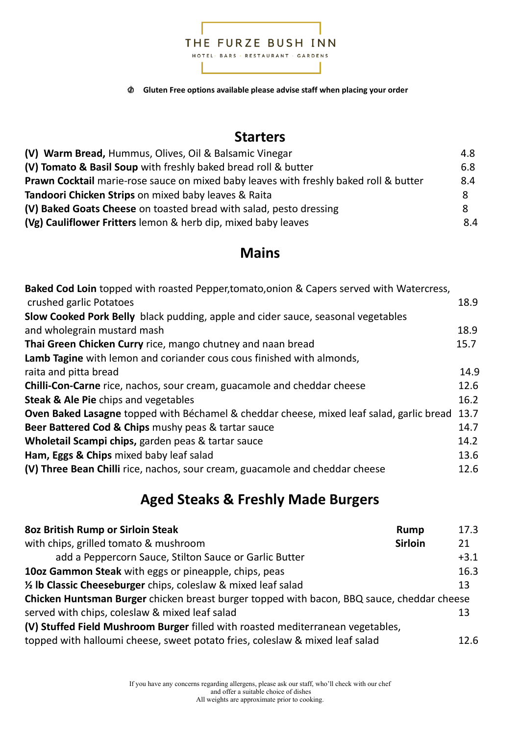

**Gluten Free options available please advise staff when placing your order**  Ø

### **Starters**

| (V) Warm Bread, Hummus, Olives, Oil & Balsamic Vinegar                                       | 4.8 |
|----------------------------------------------------------------------------------------------|-----|
| (V) Tomato & Basil Soup with freshly baked bread roll & butter                               | 6.8 |
| <b>Prawn Cocktail</b> marie-rose sauce on mixed baby leaves with freshly baked roll & butter | 8.4 |
| Tandoori Chicken Strips on mixed baby leaves & Raita                                         | -8  |
| (V) Baked Goats Cheese on toasted bread with salad, pesto dressing                           | 8   |
| (Vg) Cauliflower Fritters lemon & herb dip, mixed baby leaves                                | 8.4 |

### **Mains**

| 18.9<br>18.9<br>15.7<br>14.9<br>12.6<br>16.2<br>Oven Baked Lasagne topped with Béchamel & cheddar cheese, mixed leaf salad, garlic bread 13.7<br>14.7<br>14.2 | Baked Cod Loin topped with roasted Pepper, tomato, onion & Capers served with Watercress, |      |
|---------------------------------------------------------------------------------------------------------------------------------------------------------------|-------------------------------------------------------------------------------------------|------|
|                                                                                                                                                               | crushed garlic Potatoes                                                                   |      |
|                                                                                                                                                               | Slow Cooked Pork Belly black pudding, apple and cider sauce, seasonal vegetables          |      |
|                                                                                                                                                               | and wholegrain mustard mash                                                               |      |
|                                                                                                                                                               | Thai Green Chicken Curry rice, mango chutney and naan bread                               |      |
|                                                                                                                                                               | Lamb Tagine with lemon and coriander cous cous finished with almonds,                     |      |
|                                                                                                                                                               | raita and pitta bread                                                                     |      |
|                                                                                                                                                               | <b>Chilli-Con-Carne</b> rice, nachos, sour cream, guacamole and cheddar cheese            |      |
|                                                                                                                                                               | Steak & Ale Pie chips and vegetables                                                      |      |
|                                                                                                                                                               |                                                                                           |      |
|                                                                                                                                                               | Beer Battered Cod & Chips mushy peas & tartar sauce                                       |      |
|                                                                                                                                                               | Wholetail Scampi chips, garden peas & tartar sauce                                        |      |
|                                                                                                                                                               | Ham, Eggs & Chips mixed baby leaf salad                                                   | 13.6 |
|                                                                                                                                                               | (V) Three Bean Chilli rice, nachos, sour cream, guacamole and cheddar cheese              | 12.6 |
|                                                                                                                                                               |                                                                                           |      |

# **Aged Steaks & Freshly Made Burgers**

| <b>802 British Rump or Sirloin Steak</b>                                                   | <b>Rump</b>    | 17.3   |
|--------------------------------------------------------------------------------------------|----------------|--------|
| with chips, grilled tomato & mushroom                                                      | <b>Sirloin</b> | 21     |
| add a Peppercorn Sauce, Stilton Sauce or Garlic Butter                                     |                | $+3.1$ |
| 10oz Gammon Steak with eggs or pineapple, chips, peas                                      |                | 16.3   |
| 1/2 Ib Classic Cheeseburger chips, coleslaw & mixed leaf salad                             |                | 13     |
| Chicken Huntsman Burger chicken breast burger topped with bacon, BBQ sauce, cheddar cheese |                |        |
| served with chips, coleslaw & mixed leaf salad                                             |                | 13     |
| (V) Stuffed Field Mushroom Burger filled with roasted mediterranean vegetables,            |                |        |
| topped with halloumi cheese, sweet potato fries, coleslaw & mixed leaf salad               |                | 12.6   |